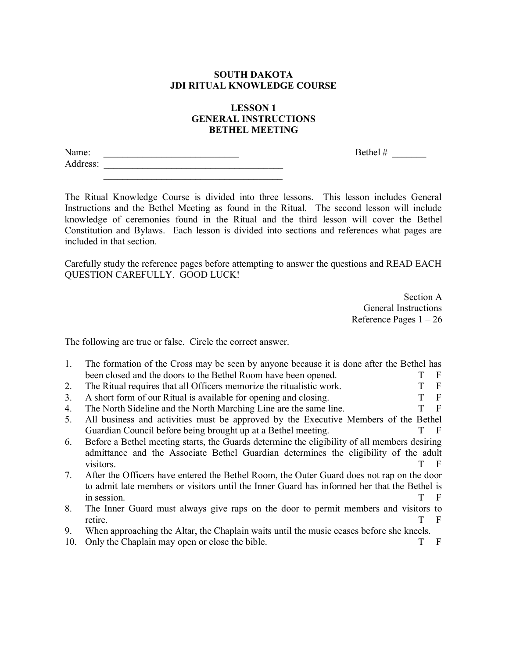## **SOUTH DAKOTA JDI RITUAL KNOWLEDGE COURSE**

## **LESSON 1 GENERAL INSTRUCTIONS BETHEL MEETING**

Name: \_\_\_\_\_\_\_\_\_\_\_\_\_\_\_\_\_\_\_\_\_\_\_\_\_\_\_\_ Bethel # \_\_\_\_\_\_\_ Address: \_\_\_\_\_\_\_\_\_\_\_\_\_\_\_\_\_\_\_\_\_\_\_\_\_\_\_\_\_\_\_\_\_\_\_\_\_  $\mathcal{L}_\text{max} = \frac{1}{2} \sum_{i=1}^{n} \frac{1}{2} \sum_{i=1}^{n} \frac{1}{2} \sum_{i=1}^{n} \frac{1}{2} \sum_{i=1}^{n} \frac{1}{2} \sum_{i=1}^{n} \frac{1}{2} \sum_{i=1}^{n} \frac{1}{2} \sum_{i=1}^{n} \frac{1}{2} \sum_{i=1}^{n} \frac{1}{2} \sum_{i=1}^{n} \frac{1}{2} \sum_{i=1}^{n} \frac{1}{2} \sum_{i=1}^{n} \frac{1}{2} \sum_{i=1}^{n} \frac{1$ 

The Ritual Knowledge Course is divided into three lessons. This lesson includes General Instructions and the Bethel Meeting as found in the Ritual. The second lesson will include knowledge of ceremonies found in the Ritual and the third lesson will cover the Bethel Constitution and Bylaws. Each lesson is divided into sections and references what pages are included in that section.

Carefully study the reference pages before attempting to answer the questions and READ EACH QUESTION CAREFULLY. GOOD LUCK!

> Section A General Instructions Reference Pages 1 – 26

The following are true or false. Circle the correct answer.

| 1.  | The formation of the Cross may be seen by anyone because it is done after the Bethel has     |              |
|-----|----------------------------------------------------------------------------------------------|--------------|
|     | been closed and the doors to the Bethel Room have been opened.                               | -F           |
| 2.  | The Ritual requires that all Officers memorize the ritualistic work.                         | F            |
| 3.  | A short form of our Ritual is available for opening and closing.                             | - F          |
| 4.  | The North Sideline and the North Marching Line are the same line.                            | $\mathbf{F}$ |
| 5.  | All business and activities must be approved by the Executive Members of the Bethel          |              |
|     | Guardian Council before being brought up at a Bethel meeting.                                | - F          |
| 6.  | Before a Bethel meeting starts, the Guards determine the eligibility of all members desiring |              |
|     | admittance and the Associate Bethel Guardian determines the eligibility of the adult         |              |
|     | visitors.                                                                                    | - F          |
| 7.  | After the Officers have entered the Bethel Room, the Outer Guard does not rap on the door    |              |
|     | to admit late members or visitors until the Inner Guard has informed her that the Bethel is  |              |
|     | in session.                                                                                  | - F          |
| 8.  | The Inner Guard must always give raps on the door to permit members and visitors to          |              |
|     | retire.                                                                                      | F            |
| 9.  | When approaching the Altar, the Chaplain waits until the music ceases before she kneels.     |              |
| 10. | Only the Chaplain may open or close the bible.                                               | F            |
|     |                                                                                              |              |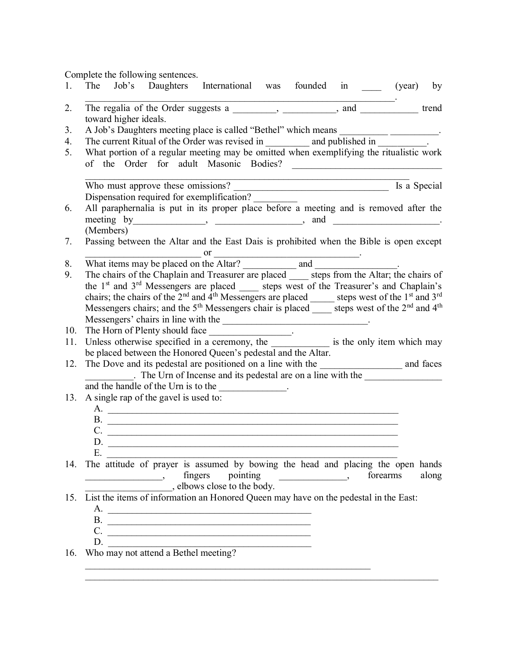Complete the following sentences.

| 1.             | The Job's Daughters International was founded in _____ (year)<br>by                                                                                                                                                                                                                                                                                                                                                         |
|----------------|-----------------------------------------------------------------------------------------------------------------------------------------------------------------------------------------------------------------------------------------------------------------------------------------------------------------------------------------------------------------------------------------------------------------------------|
| 2.             | The regalia of the Order suggests a ________, _________, and __________ trend                                                                                                                                                                                                                                                                                                                                               |
|                | toward higher ideals.                                                                                                                                                                                                                                                                                                                                                                                                       |
| 3 <sub>1</sub> | A Job's Daughters meeting place is called "Bethel" which means _______________________.                                                                                                                                                                                                                                                                                                                                     |
| 4.             | The current Ritual of the Order was revised in ____________ and published in ___________.                                                                                                                                                                                                                                                                                                                                   |
| 5.             | What portion of a regular meeting may be omitted when exemplifying the ritualistic work                                                                                                                                                                                                                                                                                                                                     |
|                |                                                                                                                                                                                                                                                                                                                                                                                                                             |
|                | Is a Special                                                                                                                                                                                                                                                                                                                                                                                                                |
|                | Who must approve these omissions?<br>Dispensation required for exemplification?                                                                                                                                                                                                                                                                                                                                             |
| 6.             | All paraphernalia is put in its proper place before a meeting and is removed after the                                                                                                                                                                                                                                                                                                                                      |
|                | meeting by _______________, ________________, and ___________________.                                                                                                                                                                                                                                                                                                                                                      |
|                | (Members)                                                                                                                                                                                                                                                                                                                                                                                                                   |
| 7.             | Passing between the Altar and the East Dais is prohibited when the Bible is open except                                                                                                                                                                                                                                                                                                                                     |
|                |                                                                                                                                                                                                                                                                                                                                                                                                                             |
| 8.             |                                                                                                                                                                                                                                                                                                                                                                                                                             |
| 9.             | The chairs of the Chaplain and Treasurer are placed _____ steps from the Altar; the chairs of                                                                                                                                                                                                                                                                                                                               |
|                | the 1 <sup>st</sup> and 3 <sup>rd</sup> Messengers are placed _____ steps west of the Treasurer's and Chaplain's                                                                                                                                                                                                                                                                                                            |
|                | chairs; the chairs of the 2 <sup>nd</sup> and 4 <sup>th</sup> Messengers are placed ______ steps west of the 1 <sup>st</sup> and 3 <sup>rd</sup>                                                                                                                                                                                                                                                                            |
|                | Messengers chairs; and the $5th$ Messengers chair is placed _____ steps west of the $2nd$ and $4th$                                                                                                                                                                                                                                                                                                                         |
|                |                                                                                                                                                                                                                                                                                                                                                                                                                             |
| 10.            | The Horn of Plenty should face __________________.                                                                                                                                                                                                                                                                                                                                                                          |
| 11.            | Unless otherwise specified in a ceremony, the ______________ is the only item which may                                                                                                                                                                                                                                                                                                                                     |
|                | be placed between the Honored Queen's pedestal and the Altar.                                                                                                                                                                                                                                                                                                                                                               |
| 12.            | The Urn of Incense and its pedestal are on a line with the                                                                                                                                                                                                                                                                                                                                                                  |
|                | and the handle of the Urn is to the _____________.                                                                                                                                                                                                                                                                                                                                                                          |
| 13.            | A single rap of the gavel is used to:                                                                                                                                                                                                                                                                                                                                                                                       |
|                |                                                                                                                                                                                                                                                                                                                                                                                                                             |
|                |                                                                                                                                                                                                                                                                                                                                                                                                                             |
|                | $\mathbf{B}$ .                                                                                                                                                                                                                                                                                                                                                                                                              |
|                | $C.$ $\qquad \qquad$<br>D.                                                                                                                                                                                                                                                                                                                                                                                                  |
|                |                                                                                                                                                                                                                                                                                                                                                                                                                             |
| 14.            | The attitude of prayer is assumed by bowing the head and placing the open hands                                                                                                                                                                                                                                                                                                                                             |
|                | fingers<br>pointing<br>forearms<br>along<br>$\begin{picture}(150,10) \put(0,0){\line(1,0){10}} \put(10,0){\line(1,0){10}} \put(10,0){\line(1,0){10}} \put(10,0){\line(1,0){10}} \put(10,0){\line(1,0){10}} \put(10,0){\line(1,0){10}} \put(10,0){\line(1,0){10}} \put(10,0){\line(1,0){10}} \put(10,0){\line(1,0){10}} \put(10,0){\line(1,0){10}} \put(10,0){\line(1,0){10}} \put(10,0){\line($<br>$\overline{\phantom{a}}$ |
|                | elbows close to the body.                                                                                                                                                                                                                                                                                                                                                                                                   |
| 15.            | List the items of information an Honored Queen may have on the pedestal in the East:                                                                                                                                                                                                                                                                                                                                        |
|                |                                                                                                                                                                                                                                                                                                                                                                                                                             |
|                |                                                                                                                                                                                                                                                                                                                                                                                                                             |
|                |                                                                                                                                                                                                                                                                                                                                                                                                                             |
|                |                                                                                                                                                                                                                                                                                                                                                                                                                             |
| 16.            | D. Who may not attend a Bethel meeting?                                                                                                                                                                                                                                                                                                                                                                                     |
|                |                                                                                                                                                                                                                                                                                                                                                                                                                             |

 $\mathcal{L}_\text{max}$  , and the contribution of the contribution of the contribution of the contribution of the contribution of the contribution of the contribution of the contribution of the contribution of the contribution of t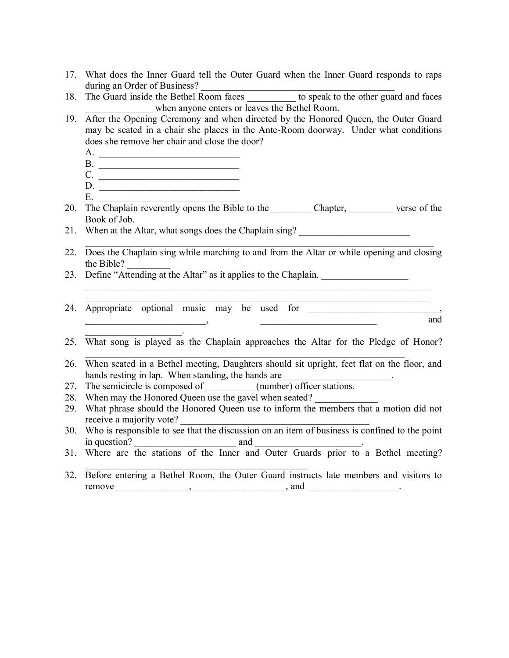- 17. What does the Inner Guard tell the Outer Guard when the Inner Guard responds to raps during an Order of Business?
- 18. The Guard inside the Bethel Room faces to speak to the other guard and faces \_\_\_\_\_\_\_\_\_\_\_\_\_\_ when anyone enters or leaves the Bethel Room.
- 19. After the Opening Ceremony and when directed by the Honored Queen, the Outer Guard may be seated in a chair she places in the Ante-Room doorway. Under what conditions does she remove her chair and close the door?
	- A. \_\_\_\_\_\_\_\_\_\_\_\_\_\_\_\_\_\_\_\_\_\_\_\_\_\_\_\_\_
	- B. \_\_\_\_\_\_\_\_\_\_\_\_\_\_\_\_\_\_\_\_\_\_\_\_\_\_\_\_\_
	- C. \_\_\_\_\_\_\_\_\_\_\_\_\_\_\_\_\_\_\_\_\_\_\_\_\_\_\_\_\_
	- D. \_\_\_\_\_\_\_\_\_\_\_\_\_\_\_\_\_\_\_\_\_\_\_\_\_\_\_\_\_  $E.$   $\qquad \qquad$

 $\mathcal{L}_\text{max}$  and  $\mathcal{L}_\text{max}$  and  $\mathcal{L}_\text{max}$ 

20. The Chaplain reverently opens the Bible to the Chapter, verse of the Book of Job.

21. When at the Altar, what songs does the Chaplain sing?  $\mathcal{L}_\text{max}$  , and the contribution of the contribution of the contribution of the contribution of the contribution of the contribution of the contribution of the contribution of the contribution of the contribution of t

- 22. Does the Chaplain sing while marching to and from the Altar or while opening and closing the Bible? \_\_\_\_\_\_\_\_\_
- 23. Define "Attending at the Altar" as it applies to the Chaplain.
- $\mathcal{L}_\text{max} = \mathcal{L}_\text{max} = \mathcal{L}_\text{max} = \mathcal{L}_\text{max} = \mathcal{L}_\text{max} = \mathcal{L}_\text{max} = \mathcal{L}_\text{max} = \mathcal{L}_\text{max} = \mathcal{L}_\text{max} = \mathcal{L}_\text{max} = \mathcal{L}_\text{max} = \mathcal{L}_\text{max} = \mathcal{L}_\text{max} = \mathcal{L}_\text{max} = \mathcal{L}_\text{max} = \mathcal{L}_\text{max} = \mathcal{L}_\text{max} = \mathcal{L}_\text{max} = \mathcal{$ 24. Appropriate optional music may be used for  $\qquad \qquad \text{and}$

 $\mathcal{L}_\text{max}$  , and the contribution of the contribution of the contribution of the contribution of the contribution of the contribution of the contribution of the contribution of the contribution of the contribution of t

25. What song is played as the Chaplain approaches the Altar for the Pledge of Honor?

 $\mathcal{L}_\text{max}$  , and the contribution of the contribution of the contribution of the contribution of the contribution of the contribution of the contribution of the contribution of the contribution of the contribution of t

- 26. When seated in a Bethel meeting, Daughters should sit upright, feet flat on the floor, and hands resting in lap. When standing, the hands are
- 27. The semicircle is composed of \_\_\_\_\_\_\_\_\_\_\_ (number) officer stations.
- 28. When may the Honored Queen use the gavel when seated?

 $\mathcal{L}_\text{max}$  and the contract of the contract of the contract of the contract of the contract of the contract of the contract of the contract of the contract of the contract of the contract of the contract of the contrac

- 29. What phrase should the Honored Queen use to inform the members that a motion did not receive a majority vote?
- 30. Who is responsible to see that the discussion on an item of business is confined to the point in question? and  $\Box$
- 31. Where are the stations of the Inner and Outer Guards prior to a Bethel meeting?
- 32. Before entering a Bethel Room, the Outer Guard instructs late members and visitors to  $r$ emove  $\qquad \qquad \ldots \qquad \qquad$ ,  $\qquad \qquad \ldots \qquad \qquad$ , and  $\qquad \qquad \ldots \qquad \qquad$ .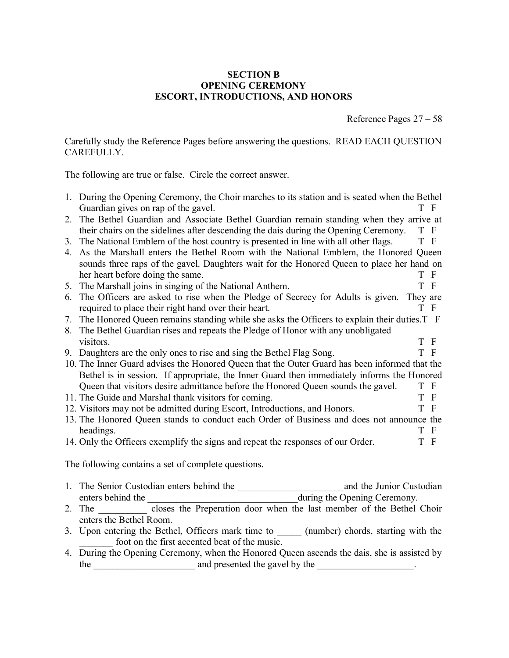## **SECTION B OPENING CEREMONY ESCORT, INTRODUCTIONS, AND HONORS**

Reference Pages 27 – 58

Carefully study the Reference Pages before answering the questions. READ EACH QUESTION CAREFULLY.

The following are true or false. Circle the correct answer.

|                                                     | 1. During the Opening Ceremony, the Choir marches to its station and is seated when the Bethel | T F      |              |  |  |  |
|-----------------------------------------------------|------------------------------------------------------------------------------------------------|----------|--------------|--|--|--|
|                                                     | Guardian gives on rap of the gavel.                                                            |          |              |  |  |  |
| 2.                                                  | The Bethel Guardian and Associate Bethel Guardian remain standing when they arrive at          |          |              |  |  |  |
|                                                     | their chairs on the sidelines after descending the dais during the Opening Ceremony.           | T F      |              |  |  |  |
| 3.                                                  | The National Emblem of the host country is presented in line with all other flags.             | T F      |              |  |  |  |
| 4.                                                  | As the Marshall enters the Bethel Room with the National Emblem, the Honored Queen             |          |              |  |  |  |
|                                                     | sounds three raps of the gavel. Daughters wait for the Honored Queen to place her hand on      |          |              |  |  |  |
|                                                     | her heart before doing the same.                                                               | T        | $\mathbf{F}$ |  |  |  |
| 5.                                                  | The Marshall joins in singing of the National Anthem.                                          | T        | $\mathbf{F}$ |  |  |  |
| 6.                                                  | The Officers are asked to rise when the Pledge of Secrecy for Adults is given.                 | They are |              |  |  |  |
|                                                     | required to place their right hand over their heart.                                           | T        | $\mathbf{F}$ |  |  |  |
| 7.                                                  | The Honored Queen remains standing while she asks the Officers to explain their duties. T F    |          |              |  |  |  |
| 8.                                                  | The Bethel Guardian rises and repeats the Pledge of Honor with any unobligated                 |          |              |  |  |  |
|                                                     | visitors.                                                                                      | T        | $\mathbf{F}$ |  |  |  |
|                                                     | 9. Daughters are the only ones to rise and sing the Bethel Flag Song.                          | T F      |              |  |  |  |
|                                                     | 10. The Inner Guard advises the Honored Queen that the Outer Guard has been informed that the  |          |              |  |  |  |
|                                                     | Bethel is in session. If appropriate, the Inner Guard then immediately informs the Honored     |          |              |  |  |  |
|                                                     | Queen that visitors desire admittance before the Honored Queen sounds the gavel.               | T F      |              |  |  |  |
|                                                     | 11. The Guide and Marshal thank visitors for coming.                                           | T        | $\mathbf{F}$ |  |  |  |
|                                                     | 12. Visitors may not be admitted during Escort, Introductions, and Honors.                     | T        | $\mathbf{F}$ |  |  |  |
|                                                     | 13. The Honored Queen stands to conduct each Order of Business and does not announce the       |          |              |  |  |  |
|                                                     | headings.                                                                                      | T F      |              |  |  |  |
|                                                     |                                                                                                | T F      |              |  |  |  |
|                                                     | 14. Only the Officers exemplify the signs and repeat the responses of our Order.               |          |              |  |  |  |
| The following contains a set of complete questions. |                                                                                                |          |              |  |  |  |
|                                                     |                                                                                                |          |              |  |  |  |
| 1.                                                  | and the Junior Custodian<br>The Senior Custodian enters behind the                             |          |              |  |  |  |
|                                                     | during the Opening Ceremony.<br>enters behind the                                              |          |              |  |  |  |

- 2. The \_\_\_\_\_\_\_\_\_ closes the Preperation door when the last member of the Bethel Choir enters the Bethel Room.
- 3. Upon entering the Bethel, Officers mark time to \_\_\_\_\_ (number) chords, starting with the foot on the first accented beat of the music.
- 4. During the Opening Ceremony, when the Honored Queen ascends the dais, she is assisted by the \_\_\_\_\_\_\_\_\_\_\_\_\_\_\_\_\_\_\_\_\_ and presented the gavel by the \_\_\_\_\_\_\_\_\_\_\_\_\_\_\_\_\_\_\_\_.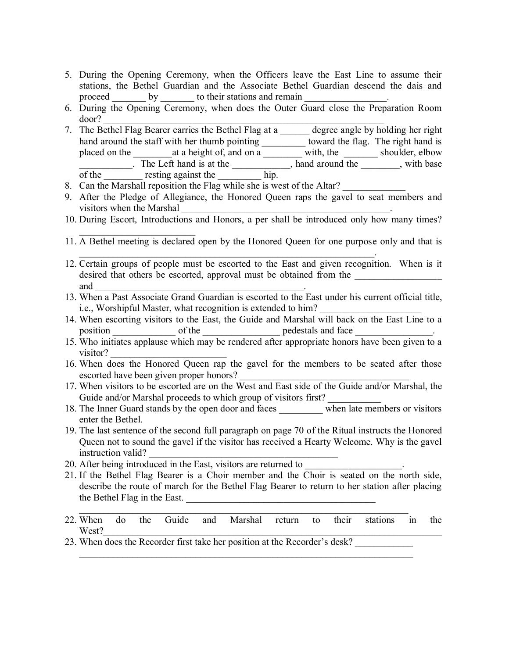- 5. During the Opening Ceremony, when the Officers leave the East Line to assume their stations, the Bethel Guardian and the Associate Bethel Guardian descend the dais and proceed by to their stations and remain
- 6. During the Opening Ceremony, when does the Outer Guard close the Preparation Room door? \_\_\_\_\_\_\_\_\_\_\_\_\_\_\_\_\_\_\_\_\_\_\_\_\_\_\_\_\_\_\_\_\_\_\_\_\_\_\_\_\_\_\_\_\_\_\_\_\_\_\_\_\_\_\_\_\_\_
- 7. The Bethel Flag Bearer carries the Bethel Flag at a \_\_\_\_\_ degree angle by holding her right hand around the staff with her thumb pointing \_\_\_\_\_\_\_\_\_\_\_ toward the flag. The right hand is placed on the \_\_\_\_\_\_\_\_at a height of, and on a \_\_\_\_\_\_\_\_ with, the \_\_\_\_\_\_\_ shoulder, elbow The Left hand is at the 1.1 and around the 1.1 and around the 1.1 and around the 1.1 and around the 1.1 and around the 1.1 and around the 1.1 and around the 1.1 and  $\frac{1}{2}$  and  $\frac{1}{2}$  are  $\frac{1}{2}$  and  $\frac{1}{2}$  are of the resting against the hip.
- 8. Can the Marshall reposition the Flag while she is west of the Altar?

 $\mathcal{L}_\text{max}$ 

- 9. After the Pledge of Allegiance, the Honored Queen raps the gavel to seat members and visitors when the Marshal
- 10. During Escort, Introductions and Honors, a per shall be introduced only how many times?
- 11. A Bethel meeting is declared open by the Honored Queen for one purpose only and that is

 $\mathcal{L}_\text{max} = \mathcal{L}_\text{max} = \mathcal{L}_\text{max} = \mathcal{L}_\text{max} = \mathcal{L}_\text{max} = \mathcal{L}_\text{max} = \mathcal{L}_\text{max} = \mathcal{L}_\text{max} = \mathcal{L}_\text{max} = \mathcal{L}_\text{max} = \mathcal{L}_\text{max} = \mathcal{L}_\text{max} = \mathcal{L}_\text{max} = \mathcal{L}_\text{max} = \mathcal{L}_\text{max} = \mathcal{L}_\text{max} = \mathcal{L}_\text{max} = \mathcal{L}_\text{max} = \mathcal{$ 

- 12. Certain groups of people must be escorted to the East and given recognition. When is it desired that others be escorted, approval must be obtained from the and  $\Box$
- 13. When a Past Associate Grand Guardian is escorted to the East under his current official title, i.e., Worshipful Master, what recognition is extended to him?
- 14. When escorting visitors to the East, the Guide and Marshal will back on the East Line to a position of the pedestals and face
- 15. Who initiates applause which may be rendered after appropriate honors have been given to a visitor?
- 16. When does the Honored Queen rap the gavel for the members to be seated after those escorted have been given proper honors?
- 17. When visitors to be escorted are on the West and East side of the Guide and/or Marshal, the Guide and/or Marshal proceeds to which group of visitors first?
- 18. The Inner Guard stands by the open door and faces \_\_\_\_\_\_\_\_\_ when late members or visitors enter the Bethel.
- 19. The last sentence of the second full paragraph on page 70 of the Ritual instructs the Honored Queen not to sound the gavel if the visitor has received a Hearty Welcome. Why is the gavel instruction valid?
- 20. After being introduced in the East, visitors are returned to
- 21. If the Bethel Flag Bearer is a Choir member and the Choir is seated on the north side, describe the route of march for the Bethel Flag Bearer to return to her station after placing the Bethel Flag in the East.
- 22. When do the Guide and Marshal return to their stations in the West?

 $\mathcal{L}_\text{max} = \mathcal{L}_\text{max} = \mathcal{L}_\text{max} = \mathcal{L}_\text{max} = \mathcal{L}_\text{max} = \mathcal{L}_\text{max} = \mathcal{L}_\text{max} = \mathcal{L}_\text{max} = \mathcal{L}_\text{max} = \mathcal{L}_\text{max} = \mathcal{L}_\text{max} = \mathcal{L}_\text{max} = \mathcal{L}_\text{max} = \mathcal{L}_\text{max} = \mathcal{L}_\text{max} = \mathcal{L}_\text{max} = \mathcal{L}_\text{max} = \mathcal{L}_\text{max} = \mathcal{$ 

 $\_$  , and the contribution of the contribution of  $\mathcal{L}_\mathcal{A}$  , and the contribution of  $\mathcal{L}_\mathcal{A}$ 

23. When does the Recorder first take her position at the Recorder's desk?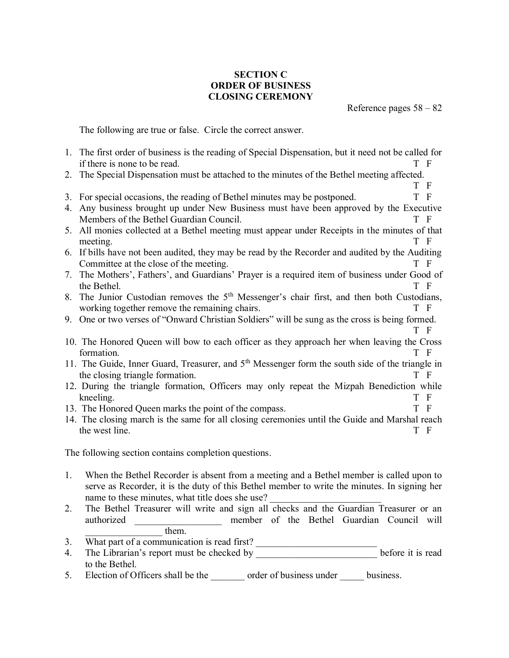## **SECTION C ORDER OF BUSINESS CLOSING CEREMONY**

Reference pages 58 – 82

The following are true or false. Circle the correct answer.

- 1. The first order of business is the reading of Special Dispensation, but it need not be called for if there is none to be read. T F
- 2. The Special Dispensation must be attached to the minutes of the Bethel meeting affected.
- T F 3. For special occasions, the reading of Bethel minutes may be postponed. T F
- 4. Any business brought up under New Business must have been approved by the Executive Members of the Bethel Guardian Council. T F
- 5. All monies collected at a Bethel meeting must appear under Receipts in the minutes of that meeting. T F
- 6. If bills have not been audited, they may be read by the Recorder and audited by the Auditing Committee at the close of the meeting. T F
- 7. The Mothers', Fathers', and Guardians' Prayer is a required item of business under Good of the Bethel. T F
- 8. The Junior Custodian removes the  $5<sup>th</sup>$  Messenger's chair first, and then both Custodians, working together remove the remaining chairs. T F
- 9. One or two verses of "Onward Christian Soldiers" will be sung as the cross is being formed. T F
- 10. The Honored Queen will bow to each officer as they approach her when leaving the Cross formation. T F
- 11. The Guide, Inner Guard, Treasurer, and 5<sup>th</sup> Messenger form the south side of the triangle in the closing triangle formation. T F
- 12. During the triangle formation, Officers may only repeat the Mizpah Benediction while kneeling. T F
- 13. The Honored Queen marks the point of the compass. T F
- 14. The closing march is the same for all closing ceremonies until the Guide and Marshal reach the west line. T F

The following section contains completion questions.

- 1. When the Bethel Recorder is absent from a meeting and a Bethel member is called upon to serve as Recorder, it is the duty of this Bethel member to write the minutes. In signing her name to these minutes, what title does she use?
- 2. The Bethel Treasurer will write and sign all checks and the Guardian Treasurer or an authorized member of the Bethel Guardian Council will them.
- 3. What part of a communication is read first?
- 4. The Librarian's report must be checked by \_\_\_\_\_\_\_\_\_\_\_\_\_\_\_\_\_\_\_\_\_\_\_\_\_\_\_\_\_before it is read to the Bethel.
- 5. Election of Officers shall be the order of business under business.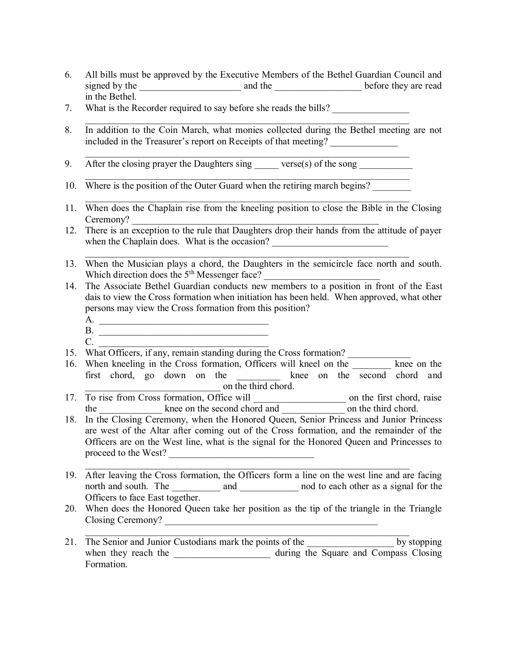- 6. All bills must be approved by the Executive Members of the Bethel Guardian Council and signed by the \_\_\_\_\_\_\_\_\_\_\_\_\_\_\_\_\_\_\_\_\_ and the \_\_\_\_\_\_\_\_\_\_\_\_\_\_\_\_\_\_ before they are read in the Bethel.
- 7. What is the Recorder required to say before she reads the bills?
- 8. In addition to the Coin March, what monies collected during the Bethel meeting are not included in the Treasurer's report on Receipts of that meeting? \_\_\_\_\_\_\_\_\_\_\_\_\_\_

 $\mathcal{L}_\mathcal{L} = \{ \mathcal{L}_\mathcal{L} = \{ \mathcal{L}_\mathcal{L} = \{ \mathcal{L}_\mathcal{L} = \{ \mathcal{L}_\mathcal{L} = \{ \mathcal{L}_\mathcal{L} = \{ \mathcal{L}_\mathcal{L} = \{ \mathcal{L}_\mathcal{L} = \{ \mathcal{L}_\mathcal{L} = \{ \mathcal{L}_\mathcal{L} = \{ \mathcal{L}_\mathcal{L} = \{ \mathcal{L}_\mathcal{L} = \{ \mathcal{L}_\mathcal{L} = \{ \mathcal{L}_\mathcal{L} = \{ \mathcal{L}_\mathcal{$ 

 $\mathcal{L}_\mathcal{L} = \{ \mathcal{L}_\mathcal{L} = \{ \mathcal{L}_\mathcal{L} = \{ \mathcal{L}_\mathcal{L} = \{ \mathcal{L}_\mathcal{L} = \{ \mathcal{L}_\mathcal{L} = \{ \mathcal{L}_\mathcal{L} = \{ \mathcal{L}_\mathcal{L} = \{ \mathcal{L}_\mathcal{L} = \{ \mathcal{L}_\mathcal{L} = \{ \mathcal{L}_\mathcal{L} = \{ \mathcal{L}_\mathcal{L} = \{ \mathcal{L}_\mathcal{L} = \{ \mathcal{L}_\mathcal{L} = \{ \mathcal{L}_\mathcal{$ 

 $\mathcal{L}_\mathcal{L} = \mathcal{L}_\mathcal{L} = \mathcal{L}_\mathcal{L} = \mathcal{L}_\mathcal{L} = \mathcal{L}_\mathcal{L} = \mathcal{L}_\mathcal{L} = \mathcal{L}_\mathcal{L} = \mathcal{L}_\mathcal{L} = \mathcal{L}_\mathcal{L} = \mathcal{L}_\mathcal{L} = \mathcal{L}_\mathcal{L} = \mathcal{L}_\mathcal{L} = \mathcal{L}_\mathcal{L} = \mathcal{L}_\mathcal{L} = \mathcal{L}_\mathcal{L} = \mathcal{L}_\mathcal{L} = \mathcal{L}_\mathcal{L}$ 

 $\mathcal{L}_\mathcal{L} = \{ \mathcal{L}_\mathcal{L} = \{ \mathcal{L}_\mathcal{L} = \{ \mathcal{L}_\mathcal{L} = \{ \mathcal{L}_\mathcal{L} = \{ \mathcal{L}_\mathcal{L} = \{ \mathcal{L}_\mathcal{L} = \{ \mathcal{L}_\mathcal{L} = \{ \mathcal{L}_\mathcal{L} = \{ \mathcal{L}_\mathcal{L} = \{ \mathcal{L}_\mathcal{L} = \{ \mathcal{L}_\mathcal{L} = \{ \mathcal{L}_\mathcal{L} = \{ \mathcal{L}_\mathcal{L} = \{ \mathcal{L}_\mathcal{$ 

- 9. After the closing prayer the Daughters sing \_\_\_\_\_ verse(s) of the song \_\_\_\_\_\_
- 10. Where is the position of the Outer Guard when the retiring march begins?
- 11. When does the Chaplain rise from the kneeling position to close the Bible in the Closing Ceremony?
- 12. There is an exception to the rule that Daughters drop their hands from the attitude of payer when the Chaplain does. What is the occasion? \_\_\_\_\_\_\_\_\_\_\_\_\_\_\_\_\_\_\_\_\_\_\_\_\_\_\_\_\_\_\_\_\_\_
- 13. When the Musician plays a chord, the Daughters in the semicircle face north and south. Which direction does the  $5<sup>th</sup>$  Messenger face?

 $\mathcal{L}_\text{max} = \frac{1}{2} \sum_{i=1}^n \mathcal{L}_\text{max}(\mathbf{z}_i - \mathbf{z}_i)$ 

- 14. The Associate Bethel Guardian conducts new members to a position in front of the East dais to view the Cross formation when initiation has been held. When approved, what other persons may view the Cross formation from this position?
	- A. \_\_\_\_\_\_\_\_\_\_\_\_\_\_\_\_\_\_\_\_\_\_\_\_\_\_\_\_\_\_\_\_\_\_\_
	- B.  $C.$
- 15. What Officers, if any, remain standing during the Cross formation?
- 16. When kneeling in the Cross formation, Officers will kneel on the \_\_\_\_\_\_\_\_ knee on the first chord, go down on the knee on the second chord and on the third chord.
- 17. To rise from Cross formation, Office will contract the first chord, raise the knee on the second chord and and and and third chord.
- 18. In the Closing Ceremony, when the Honored Queen, Senior Princess and Junior Princess are west of the Altar after coming out of the Cross formation, and the remainder of the Officers are on the West line, what is the signal for the Honored Queen and Princesses to proceed to the West?
- 19. After leaving the Cross formation, the Officers form a line on the west line and are facing north and south. The \_\_\_\_\_\_\_\_\_\_\_ and \_\_\_\_\_\_\_\_\_\_\_\_\_ nod to each other as a signal for the Officers to face East together.

 $\mathcal{L}_\text{max} = \frac{1}{2} \sum_{i=1}^n \mathcal{L}_\text{max}(\mathbf{z}_i - \mathbf{z}_i)$ 

20. When does the Honored Queen take her position as the tip of the triangle in the Triangle Closing Ceremony? \_\_\_\_\_\_\_\_\_\_\_\_\_\_\_\_\_\_\_\_\_\_\_\_\_\_\_\_\_\_\_\_\_\_\_\_\_\_\_\_\_\_\_\_

 $\mathcal{L}_\mathcal{L} = \{ \mathcal{L}_\mathcal{L} = \{ \mathcal{L}_\mathcal{L} = \{ \mathcal{L}_\mathcal{L} = \{ \mathcal{L}_\mathcal{L} = \{ \mathcal{L}_\mathcal{L} = \{ \mathcal{L}_\mathcal{L} = \{ \mathcal{L}_\mathcal{L} = \{ \mathcal{L}_\mathcal{L} = \{ \mathcal{L}_\mathcal{L} = \{ \mathcal{L}_\mathcal{L} = \{ \mathcal{L}_\mathcal{L} = \{ \mathcal{L}_\mathcal{L} = \{ \mathcal{L}_\mathcal{L} = \{ \mathcal{L}_\mathcal{$ 

21. The Senior and Junior Custodians mark the points of the by stopping when they reach the \_\_\_\_\_\_\_\_\_\_\_\_\_\_\_\_\_\_\_\_\_ during the Square and Compass Closing Formation.